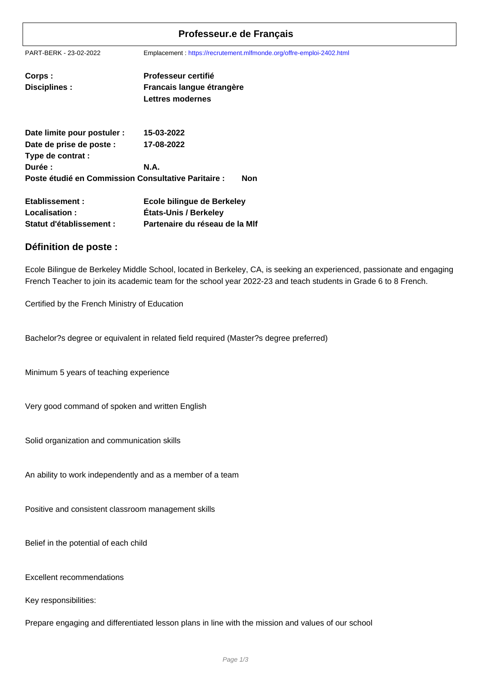## **Professeur.e de Français**

PART-BERK - 23-02-2022 Emplacement : https://recrutement.mlfmonde.org/offre-emploi-2402.html

| Corps :              | <b>Professeur certifié</b> |
|----------------------|----------------------------|
| <b>Disciplines :</b> | Francais langue étrangère  |
|                      | <b>Lettres modernes</b>    |

| Date limite pour postuler :                         | 15-03-2022 |     |
|-----------------------------------------------------|------------|-----|
| Date de prise de poste :                            | 17-08-2022 |     |
| Type de contrat :                                   |            |     |
| Durée :                                             | N.A.       |     |
| Poste étudié en Commission Consultative Paritaire : |            | Non |

| Etablissement :          | Ecole bilingue de Berkeley     |
|--------------------------|--------------------------------|
| Localisation:            | États-Unis / Berkeley          |
| Statut d'établissement : | Partenaire du réseau de la MIf |

## **Définition de poste :**

Ecole Bilingue de Berkeley Middle School, located in Berkeley, CA, is seeking an experienced, passionate and engaging French Teacher to join its academic team for the school year 2022-23 and teach students in Grade 6 to 8 French.

Certified by the French Ministry of Education

Bachelor?s degree or equivalent in related field required (Master?s degree preferred)

Minimum 5 years of teaching experience

Very good command of spoken and written English

Solid organization and communication skills

An ability to work independently and as a member of a team

Positive and consistent classroom management skills

Belief in the potential of each child

Excellent recommendations

Key responsibilities:

Prepare engaging and differentiated lesson plans in line with the mission and values of our school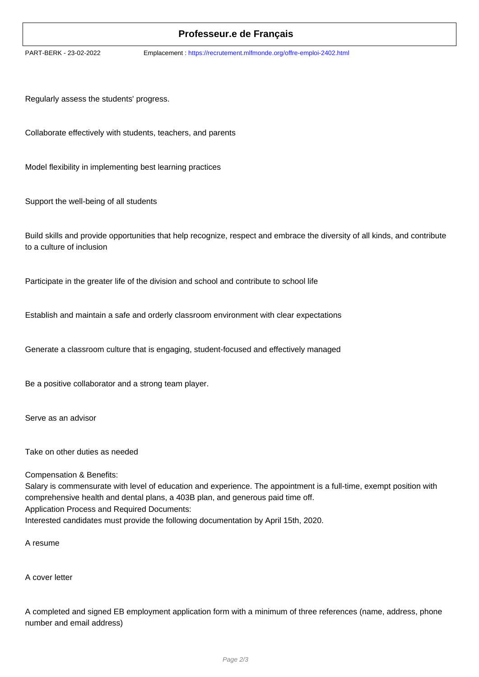## **Professeur.e de Français**

PART-BERK - 23-02-2022 Emplacement : https://recrutement.mlfmonde.org/offre-emploi-2402.html

Regularly assess the students' progress.

Collaborate effectively with students, teachers, and parents

Model flexibility in implementing best learning practices

Support the well-being of all students

Build skills and provide opportunities that help recognize, respect and embrace the diversity of all kinds, and contribute to a culture of inclusion

Participate in the greater life of the division and school and contribute to school life

Establish and maintain a safe and orderly classroom environment with clear expectations

Generate a classroom culture that is engaging, student-focused and effectively managed

Be a positive collaborator and a strong team player.

Serve as an advisor

Take on other duties as needed

Compensation & Benefits:

Salary is commensurate with level of education and experience. The appointment is a full-time, exempt position with comprehensive health and dental plans, a 403B plan, and generous paid time off. Application Process and Required Documents: Interested candidates must provide the following documentation by April 15th, 2020.

A resume

A cover letter

A completed and signed EB employment application form with a minimum of three references (name, address, phone number and email address)